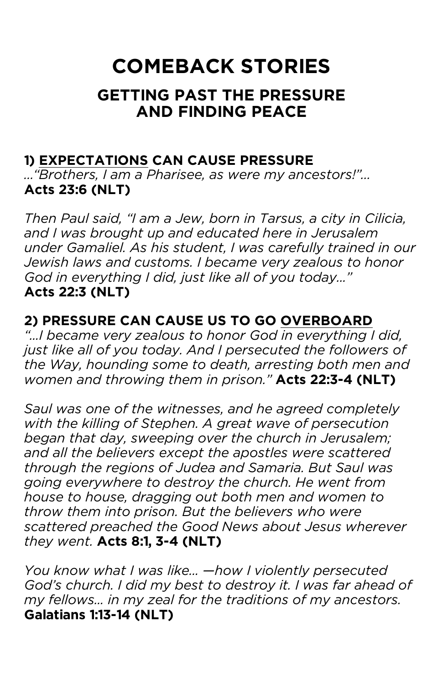# **COMEBACK STORIES**

## **GETTING PAST THE PRESSURE AND FINDING PEACE**

## **1) EXPECTATIONS CAN CAUSE PRESSURE**

*…"Brothers, I am a Pharisee, as were my ancestors!"…* **Acts 23:6 (NLT)**

*Then Paul said, "I am a Jew, born in Tarsus, a city in Cilicia, and I was brought up and educated here in Jerusalem under Gamaliel. As his student, I was carefully trained in our Jewish laws and customs. I became very zealous to honor God in everything I did, just like all of you today..."*  **Acts 22:3 (NLT)**

#### **2) PRESSURE CAN CAUSE US TO GO OVERBOARD**

*"...I became very zealous to honor God in everything I did, just like all of you today. And I persecuted the followers of the Way, hounding some to death, arresting both men and women and throwing them in prison."* **Acts 22:3-4 (NLT)**

*Saul was one of the witnesses, and he agreed completely with the killing of Stephen. A great wave of persecution began that day, sweeping over the church in Jerusalem; and all the believers except the apostles were scattered through the regions of Judea and Samaria. But Saul was going everywhere to destroy the church. He went from house to house, dragging out both men and women to throw them into prison. But the believers who were scattered preached the Good News about Jesus wherever they went.* **Acts 8:1, 3-4 (NLT)**

*You know what I was like... —how I violently persecuted God's church. I did my best to destroy it. I was far ahead of my fellows... in my zeal for the traditions of my ancestors.*  **Galatians 1:13-14 (NLT)**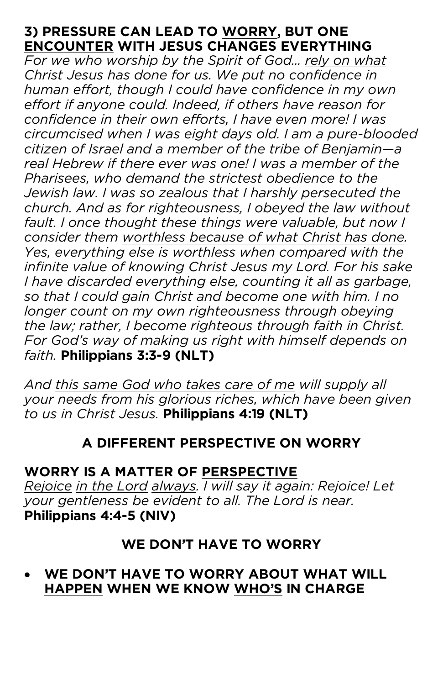### **3) PRESSURE CAN LEAD TO WORRY, BUT ONE ENCOUNTER WITH JESUS CHANGES EVERYTHING**

*For we who worship by the Spirit of God... rely on what Christ Jesus has done for us. We put no confidence in human effort, though I could have confidence in my own effort if anyone could. Indeed, if others have reason for confidence in their own efforts, I have even more! I was circumcised when I was eight days old. I am a pure-blooded citizen of Israel and a member of the tribe of Benjamin—a real Hebrew if there ever was one! I was a member of the Pharisees, who demand the strictest obedience to the Jewish law. I was so zealous that I harshly persecuted the church. And as for righteousness, I obeyed the law without*  fault. I once thought these things were valuable, but now I *consider them worthless because of what Christ has done. Yes, everything else is worthless when compared with the infinite value of knowing Christ Jesus my Lord. For his sake I have discarded everything else, counting it all as garbage, so that I could gain Christ and become one with him. I no longer count on my own righteousness through obeying the law; rather, I become righteous through faith in Christ. For God's way of making us right with himself depends on faith.* **Philippians 3:3-9 (NLT)**

*And this same God who takes care of me will supply all your needs from his glorious riches, which have been given to us in Christ Jesus.* **Philippians 4:19 (NLT)**

## **A DIFFERENT PERSPECTIVE ON WORRY**

## **WORRY IS A MATTER OF PERSPECTIVE**

*Rejoice in the Lord always. I will say it again: Rejoice! Let your gentleness be evident to all. The Lord is near.* **Philippians 4:4-5 (NIV)**

## **WE DON'T HAVE TO WORRY**

## • **WE DON'T HAVE TO WORRY ABOUT WHAT WILL HAPPEN WHEN WE KNOW WHO'S IN CHARGE**